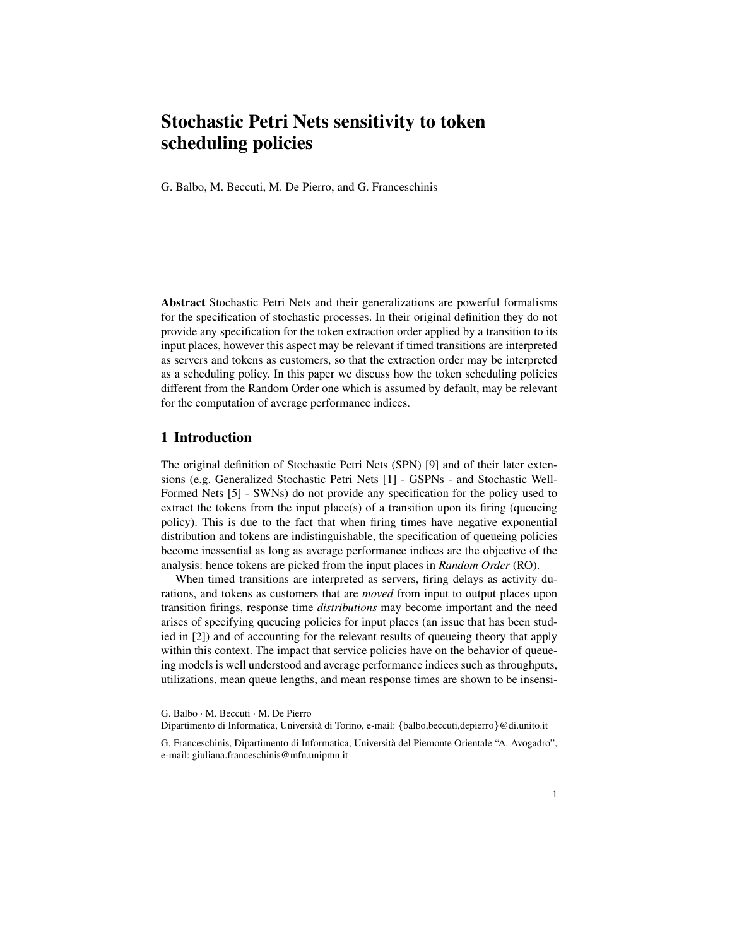# Stochastic Petri Nets sensitivity to token scheduling policies

G. Balbo, M. Beccuti, M. De Pierro, and G. Franceschinis

Abstract Stochastic Petri Nets and their generalizations are powerful formalisms for the specification of stochastic processes. In their original definition they do not provide any specification for the token extraction order applied by a transition to its input places, however this aspect may be relevant if timed transitions are interpreted as servers and tokens as customers, so that the extraction order may be interpreted as a scheduling policy. In this paper we discuss how the token scheduling policies different from the Random Order one which is assumed by default, may be relevant for the computation of average performance indices.

## 1 Introduction

The original definition of Stochastic Petri Nets (SPN) [9] and of their later extensions (e.g. Generalized Stochastic Petri Nets [1] - GSPNs - and Stochastic Well-Formed Nets [5] - SWNs) do not provide any specification for the policy used to extract the tokens from the input place(s) of a transition upon its firing (queueing policy). This is due to the fact that when firing times have negative exponential distribution and tokens are indistinguishable, the specification of queueing policies become inessential as long as average performance indices are the objective of the analysis: hence tokens are picked from the input places in *Random Order* (RO).

When timed transitions are interpreted as servers, firing delays as activity durations, and tokens as customers that are *moved* from input to output places upon transition firings, response time *distributions* may become important and the need arises of specifying queueing policies for input places (an issue that has been studied in [2]) and of accounting for the relevant results of queueing theory that apply within this context. The impact that service policies have on the behavior of queueing models is well understood and average performance indices such as throughputs, utilizations, mean queue lengths, and mean response times are shown to be insensi-

G. Balbo · M. Beccuti · M. De Pierro

Dipartimento di Informatica, Universita di Torino, e-mail: ` {balbo,beccuti,depierro}@di.unito.it

G. Franceschinis, Dipartimento di Informatica, Universita del Piemonte Orientale "A. Avogadro", ` e-mail: giuliana.franceschinis@mfn.unipmn.it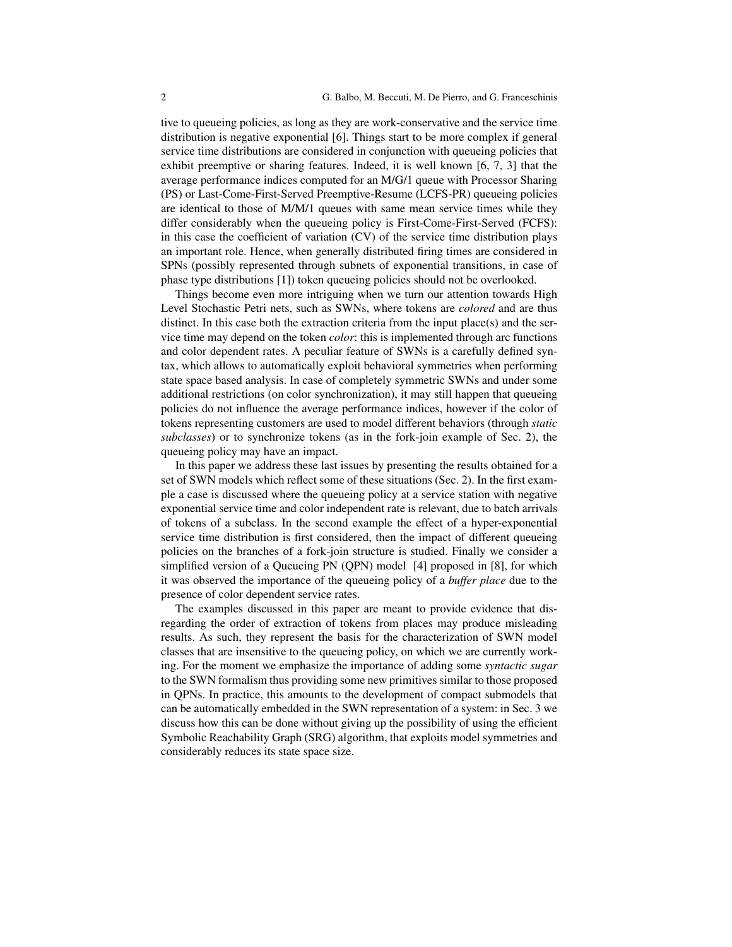tive to queueing policies, as long as they are work-conservative and the service time distribution is negative exponential [6]. Things start to be more complex if general service time distributions are considered in conjunction with queueing policies that exhibit preemptive or sharing features. Indeed, it is well known [6, 7, 3] that the average performance indices computed for an M/G/1 queue with Processor Sharing (PS) or Last-Come-First-Served Preemptive-Resume (LCFS-PR) queueing policies are identical to those of M/M/1 queues with same mean service times while they differ considerably when the queueing policy is First-Come-First-Served (FCFS): in this case the coefficient of variation (CV) of the service time distribution plays an important role. Hence, when generally distributed firing times are considered in SPNs (possibly represented through subnets of exponential transitions, in case of phase type distributions [1]) token queueing policies should not be overlooked.

Things become even more intriguing when we turn our attention towards High Level Stochastic Petri nets, such as SWNs, where tokens are *colored* and are thus distinct. In this case both the extraction criteria from the input place(s) and the service time may depend on the token *color*: this is implemented through arc functions and color dependent rates. A peculiar feature of SWNs is a carefully defined syntax, which allows to automatically exploit behavioral symmetries when performing state space based analysis. In case of completely symmetric SWNs and under some additional restrictions (on color synchronization), it may still happen that queueing policies do not influence the average performance indices, however if the color of tokens representing customers are used to model different behaviors (through *static subclasses*) or to synchronize tokens (as in the fork-join example of Sec. 2), the queueing policy may have an impact.

In this paper we address these last issues by presenting the results obtained for a set of SWN models which reflect some of these situations (Sec. 2). In the first example a case is discussed where the queueing policy at a service station with negative exponential service time and color independent rate is relevant, due to batch arrivals of tokens of a subclass. In the second example the effect of a hyper-exponential service time distribution is first considered, then the impact of different queueing policies on the branches of a fork-join structure is studied. Finally we consider a simplified version of a Queueing PN (QPN) model [4] proposed in [8], for which it was observed the importance of the queueing policy of a *buffer place* due to the presence of color dependent service rates.

The examples discussed in this paper are meant to provide evidence that disregarding the order of extraction of tokens from places may produce misleading results. As such, they represent the basis for the characterization of SWN model classes that are insensitive to the queueing policy, on which we are currently working. For the moment we emphasize the importance of adding some *syntactic sugar* to the SWN formalism thus providing some new primitives similar to those proposed in QPNs. In practice, this amounts to the development of compact submodels that can be automatically embedded in the SWN representation of a system: in Sec. 3 we discuss how this can be done without giving up the possibility of using the efficient Symbolic Reachability Graph (SRG) algorithm, that exploits model symmetries and considerably reduces its state space size.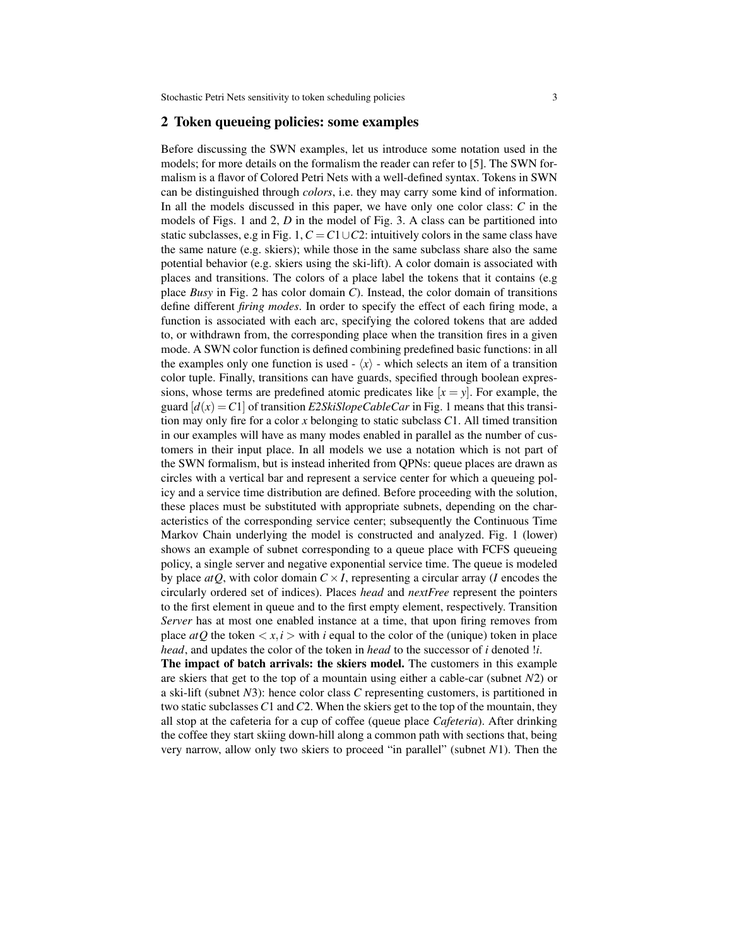### 2 Token queueing policies: some examples

Before discussing the SWN examples, let us introduce some notation used in the models; for more details on the formalism the reader can refer to [5]. The SWN formalism is a flavor of Colored Petri Nets with a well-defined syntax. Tokens in SWN can be distinguished through *colors*, i.e. they may carry some kind of information. In all the models discussed in this paper, we have only one color class: *C* in the models of Figs. 1 and 2, *D* in the model of Fig. 3. A class can be partitioned into static subclasses, e.g in Fig. 1,  $C = C1 \cup C2$ : intuitively colors in the same class have the same nature (e.g. skiers); while those in the same subclass share also the same potential behavior (e.g. skiers using the ski-lift). A color domain is associated with places and transitions. The colors of a place label the tokens that it contains (e.g place *Busy* in Fig. 2 has color domain *C*). Instead, the color domain of transitions define different *firing modes*. In order to specify the effect of each firing mode, a function is associated with each arc, specifying the colored tokens that are added to, or withdrawn from, the corresponding place when the transition fires in a given mode. A SWN color function is defined combining predefined basic functions: in all the examples only one function is used  $-\langle x \rangle$  - which selects an item of a transition color tuple. Finally, transitions can have guards, specified through boolean expressions, whose terms are predefined atomic predicates like  $[x = y]$ . For example, the guard  $d(x) = C1$  of transition *E2SkiSlopeCableCar* in Fig. 1 means that this transition may only fire for a color *x* belonging to static subclass *C*1. All timed transition in our examples will have as many modes enabled in parallel as the number of customers in their input place. In all models we use a notation which is not part of the SWN formalism, but is instead inherited from QPNs: queue places are drawn as circles with a vertical bar and represent a service center for which a queueing policy and a service time distribution are defined. Before proceeding with the solution, these places must be substituted with appropriate subnets, depending on the characteristics of the corresponding service center; subsequently the Continuous Time Markov Chain underlying the model is constructed and analyzed. Fig. 1 (lower) shows an example of subnet corresponding to a queue place with FCFS queueing policy, a single server and negative exponential service time. The queue is modeled by place  $atQ$ , with color domain  $C \times I$ , representing a circular array (*I* encodes the circularly ordered set of indices). Places *head* and *nextFree* represent the pointers to the first element in queue and to the first empty element, respectively. Transition *Server* has at most one enabled instance at a time, that upon firing removes from place  $atQ$  the token  $\langle x, i \rangle$  with *i* equal to the color of the (unique) token in place *head*, and updates the color of the token in *head* to the successor of *i* denoted !*i*.

The impact of batch arrivals: the skiers model. The customers in this example are skiers that get to the top of a mountain using either a cable-car (subnet *N*2) or a ski-lift (subnet *N*3): hence color class *C* representing customers, is partitioned in two static subclasses*C*1 and*C*2. When the skiers get to the top of the mountain, they all stop at the cafeteria for a cup of coffee (queue place *Cafeteria*). After drinking the coffee they start skiing down-hill along a common path with sections that, being very narrow, allow only two skiers to proceed "in parallel" (subnet *N*1). Then the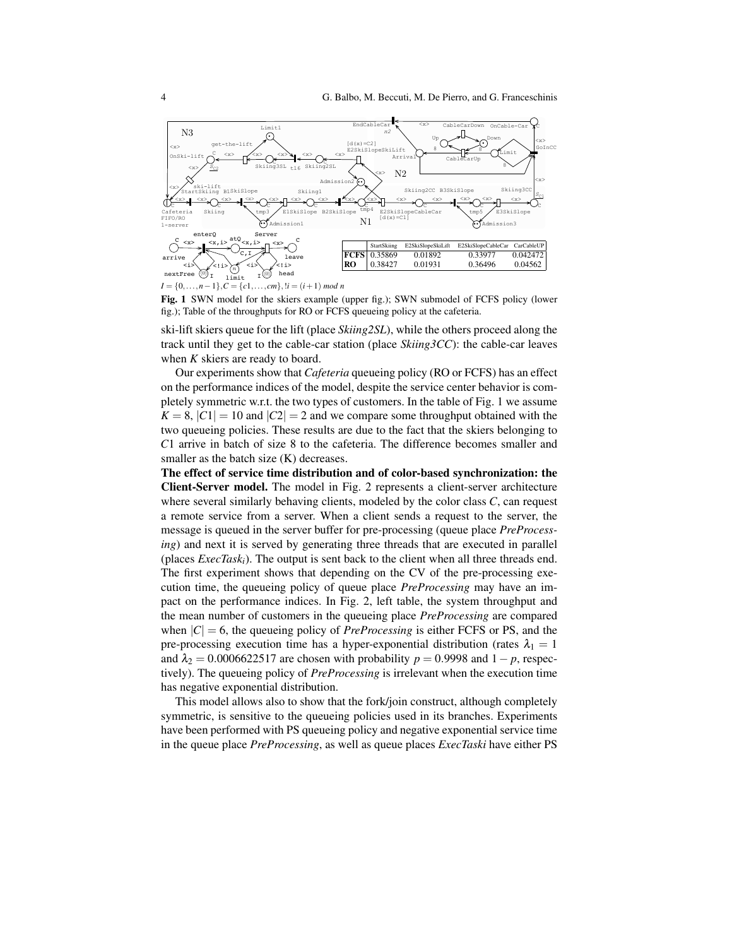

Fig. 1 SWN model for the skiers example (upper fig.); SWN submodel of FCFS policy (lower fig.); Table of the throughputs for RO or FCFS queueing policy at the cafeteria.

ski-lift skiers queue for the lift (place *Skiing2SL*), while the others proceed along the track until they get to the cable-car station (place *Skiing3CC*): the cable-car leaves when *K* skiers are ready to board.

Our experiments show that *Cafeteria* queueing policy (RO or FCFS) has an effect on the performance indices of the model, despite the service center behavior is completely symmetric w.r.t. the two types of customers. In the table of Fig. 1 we assume  $K = 8$ ,  $|C1| = 10$  and  $|C2| = 2$  and we compare some throughput obtained with the two queueing policies. These results are due to the fact that the skiers belonging to *C*1 arrive in batch of size 8 to the cafeteria. The difference becomes smaller and smaller as the batch size (K) decreases.

The effect of service time distribution and of color-based synchronization: the Client-Server model. The model in Fig. 2 represents a client-server architecture where several similarly behaving clients, modeled by the color class *C*, can request a remote service from a server. When a client sends a request to the server, the message is queued in the server buffer for pre-processing (queue place *PreProcessing*) and next it is served by generating three threads that are executed in parallel (places *ExecTaski*). The output is sent back to the client when all three threads end. The first experiment shows that depending on the CV of the pre-processing execution time, the queueing policy of queue place *PreProcessing* may have an impact on the performance indices. In Fig. 2, left table, the system throughput and the mean number of customers in the queueing place *PreProcessing* are compared when  $|C| = 6$ , the queueing policy of *PreProcessing* is either FCFS or PS, and the pre-processing execution time has a hyper-exponential distribution (rates  $\lambda_1 = 1$ and  $\lambda_2 = 0.0006622517$  are chosen with probability  $p = 0.9998$  and  $1 - p$ , respectively). The queueing policy of *PreProcessing* is irrelevant when the execution time has negative exponential distribution.

This model allows also to show that the fork/join construct, although completely symmetric, is sensitive to the queueing policies used in its branches. Experiments have been performed with PS queueing policy and negative exponential service time in the queue place *PreProcessing*, as well as queue places *ExecTaski* have either PS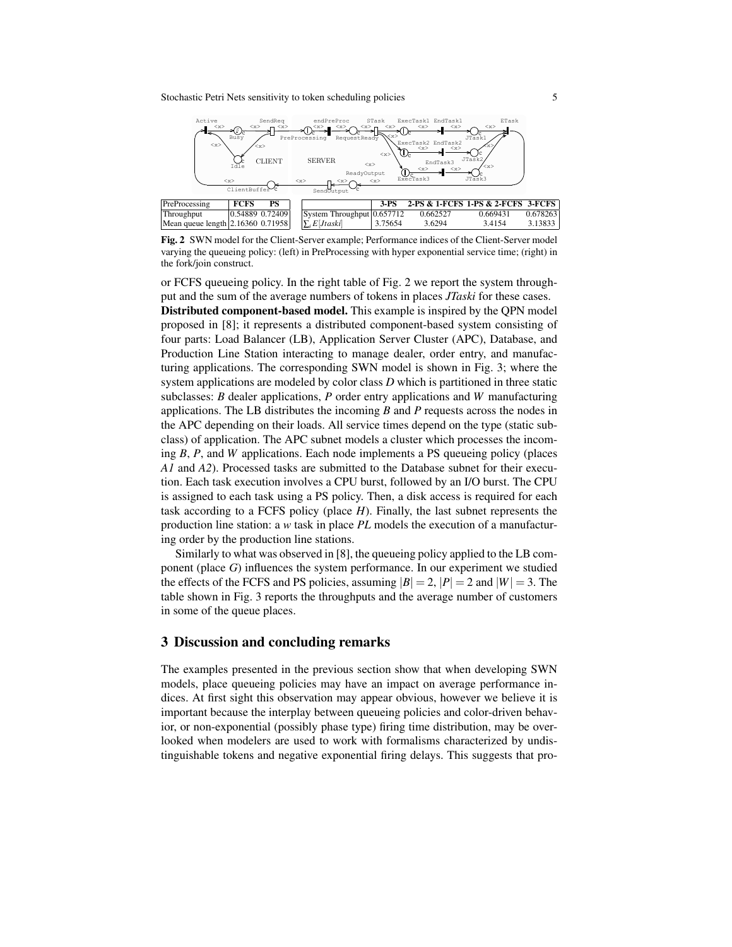

Fig. 2 SWN model for the Client-Server example; Performance indices of the Client-Server model varying the queueing policy: (left) in PreProcessing with hyper exponential service time; (right) in the fork/join construct.

or FCFS queueing policy. In the right table of Fig. 2 we report the system throughput and the sum of the average numbers of tokens in places *JTaski* for these cases. Distributed component-based model. This example is inspired by the QPN model proposed in [8]; it represents a distributed component-based system consisting of four parts: Load Balancer (LB), Application Server Cluster (APC), Database, and Production Line Station interacting to manage dealer, order entry, and manufacturing applications. The corresponding SWN model is shown in Fig. 3; where the system applications are modeled by color class *D* which is partitioned in three static subclasses: *B* dealer applications, *P* order entry applications and *W* manufacturing applications. The LB distributes the incoming *B* and *P* requests across the nodes in the APC depending on their loads. All service times depend on the type (static subclass) of application. The APC subnet models a cluster which processes the incoming *B*, *P*, and *W* applications. Each node implements a PS queueing policy (places *A1* and *A2*). Processed tasks are submitted to the Database subnet for their execution. Each task execution involves a CPU burst, followed by an I/O burst. The CPU is assigned to each task using a PS policy. Then, a disk access is required for each task according to a FCFS policy (place *H*). Finally, the last subnet represents the production line station: a *w* task in place *PL* models the execution of a manufacturing order by the production line stations.

Similarly to what was observed in [8], the queueing policy applied to the LB component (place *G*) influences the system performance. In our experiment we studied the effects of the FCFS and PS policies, assuming  $|B| = 2$ ,  $|P| = 2$  and  $|W| = 3$ . The table shown in Fig. 3 reports the throughputs and the average number of customers in some of the queue places.

### 3 Discussion and concluding remarks

The examples presented in the previous section show that when developing SWN models, place queueing policies may have an impact on average performance indices. At first sight this observation may appear obvious, however we believe it is important because the interplay between queueing policies and color-driven behavior, or non-exponential (possibly phase type) firing time distribution, may be overlooked when modelers are used to work with formalisms characterized by undistinguishable tokens and negative exponential firing delays. This suggests that pro-